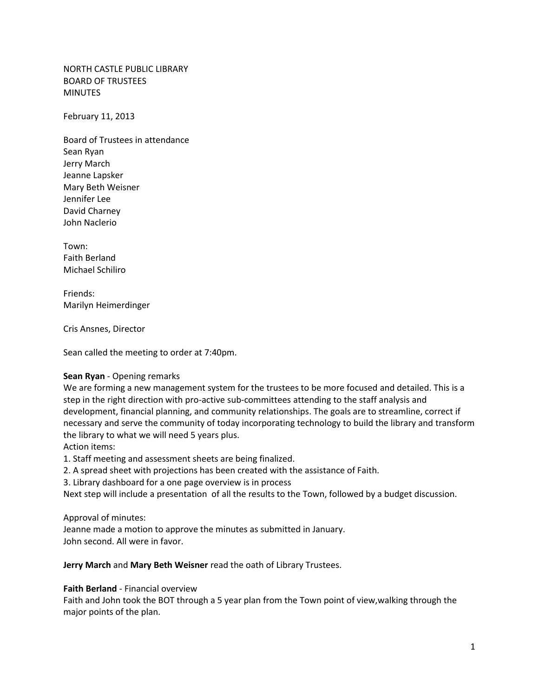NORTH CASTLE PUBLIC LIBRARY BOARD OF TRUSTEES MINUTES

February 11, 2013

Board of Trustees in attendance Sean Ryan Jerry March Jeanne Lapsker Mary Beth Weisner Jennifer Lee David Charney John Naclerio

Town: Faith Berland Michael Schiliro

Friends: Marilyn Heimerdinger

Cris Ansnes, Director

Sean called the meeting to order at 7:40pm.

### **Sean Ryan** - Opening remarks

We are forming a new management system for the trustees to be more focused and detailed. This is a step in the right direction with pro-active sub-committees attending to the staff analysis and development, financial planning, and community relationships. The goals are to streamline, correct if necessary and serve the community of today incorporating technology to build the library and transform the library to what we will need 5 years plus.

Action items:

1. Staff meeting and assessment sheets are being finalized.

2. A spread sheet with projections has been created with the assistance of Faith.

3. Library dashboard for a one page overview is in process

Next step will include a presentation of all the results to the Town, followed by a budget discussion.

### Approval of minutes:

Jeanne made a motion to approve the minutes as submitted in January. John second. All were in favor.

**Jerry March** and **Mary Beth Weisner** read the oath of Library Trustees.

#### **Faith Berland** - Financial overview

Faith and John took the BOT through a 5 year plan from the Town point of view,walking through the major points of the plan.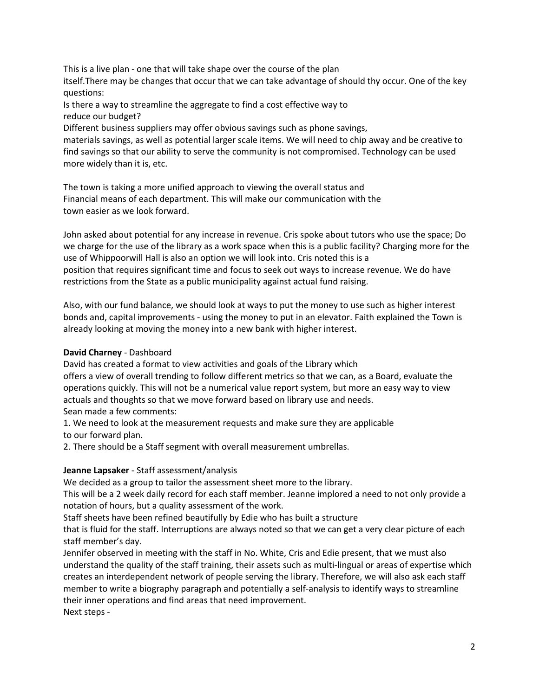This is a live plan - one that will take shape over the course of the plan

itself.There may be changes that occur that we can take advantage of should thy occur. One of the key questions:

Is there a way to streamline the aggregate to find a cost effective way to reduce our budget?

Different business suppliers may offer obvious savings such as phone savings,

materials savings, as well as potential larger scale items. We will need to chip away and be creative to find savings so that our ability to serve the community is not compromised. Technology can be used more widely than it is, etc.

The town is taking a more unified approach to viewing the overall status and Financial means of each department. This will make our communication with the town easier as we look forward.

John asked about potential for any increase in revenue. Cris spoke about tutors who use the space; Do we charge for the use of the library as a work space when this is a public facility? Charging more for the use of Whippoorwill Hall is also an option we will look into. Cris noted this is a position that requires significant time and focus to seek out ways to increase revenue. We do have restrictions from the State as a public municipality against actual fund raising.

Also, with our fund balance, we should look at ways to put the money to use such as higher interest bonds and, capital improvements - using the money to put in an elevator. Faith explained the Town is already looking at moving the money into a new bank with higher interest.

# **David Charney** - Dashboard

David has created a format to view activities and goals of the Library which

offers a view of overall trending to follow different metrics so that we can, as a Board, evaluate the operations quickly. This will not be a numerical value report system, but more an easy way to view actuals and thoughts so that we move forward based on library use and needs. Sean made a few comments:

1. We need to look at the measurement requests and make sure they are applicable to our forward plan.

2. There should be a Staff segment with overall measurement umbrellas.

### **Jeanne Lapsaker** - Staff assessment/analysis

We decided as a group to tailor the assessment sheet more to the library.

This will be a 2 week daily record for each staff member. Jeanne implored a need to not only provide a notation of hours, but a quality assessment of the work.

Staff sheets have been refined beautifully by Edie who has built a structure

that is fluid for the staff. Interruptions are always noted so that we can get a very clear picture of each staff member's day.

Jennifer observed in meeting with the staff in No. White, Cris and Edie present, that we must also understand the quality of the staff training, their assets such as multi-lingual or areas of expertise which creates an interdependent network of people serving the library. Therefore, we will also ask each staff member to write a biography paragraph and potentially a self-analysis to identify ways to streamline their inner operations and find areas that need improvement. Next steps -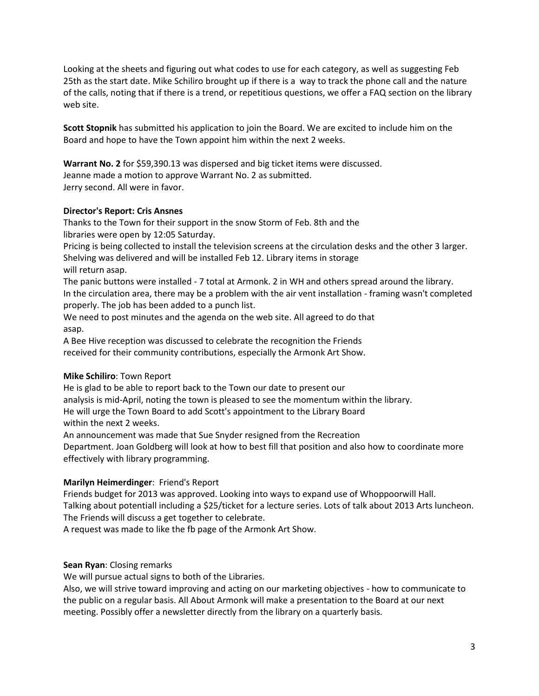Looking at the sheets and figuring out what codes to use for each category, as well as suggesting Feb 25th as the start date. Mike Schiliro brought up if there is a way to track the phone call and the nature of the calls, noting that if there is a trend, or repetitious questions, we offer a FAQ section on the library web site.

**Scott Stopnik** has submitted his application to join the Board. We are excited to include him on the Board and hope to have the Town appoint him within the next 2 weeks.

**Warrant No. 2** for \$59,390.13 was dispersed and big ticket items were discussed. Jeanne made a motion to approve Warrant No. 2 as submitted. Jerry second. All were in favor.

### **Director's Report: Cris Ansnes**

Thanks to the Town for their support in the snow Storm of Feb. 8th and the libraries were open by 12:05 Saturday.

Pricing is being collected to install the television screens at the circulation desks and the other 3 larger. Shelving was delivered and will be installed Feb 12. Library items in storage will return asap.

The panic buttons were installed - 7 total at Armonk. 2 in WH and others spread around the library. In the circulation area, there may be a problem with the air vent installation - framing wasn't completed properly. The job has been added to a punch list.

We need to post minutes and the agenda on the web site. All agreed to do that asap.

A Bee Hive reception was discussed to celebrate the recognition the Friends received for their community contributions, especially the Armonk Art Show.

# **Mike Schiliro**: Town Report

He is glad to be able to report back to the Town our date to present our analysis is mid-April, noting the town is pleased to see the momentum within the library. He will urge the Town Board to add Scott's appointment to the Library Board within the next 2 weeks.

An announcement was made that Sue Snyder resigned from the Recreation

Department. Joan Goldberg will look at how to best fill that position and also how to coordinate more effectively with library programming.

# **Marilyn Heimerdinger**: Friend's Report

Friends budget for 2013 was approved. Looking into ways to expand use of Whoppoorwill Hall. Talking about potentiall including a \$25/ticket for a lecture series. Lots of talk about 2013 Arts luncheon. The Friends will discuss a get together to celebrate.

A request was made to like the fb page of the Armonk Art Show.

# **Sean Ryan**: Closing remarks

We will pursue actual signs to both of the Libraries.

Also, we will strive toward improving and acting on our marketing objectives - how to communicate to the public on a regular basis. All About Armonk will make a presentation to the Board at our next meeting. Possibly offer a newsletter directly from the library on a quarterly basis.